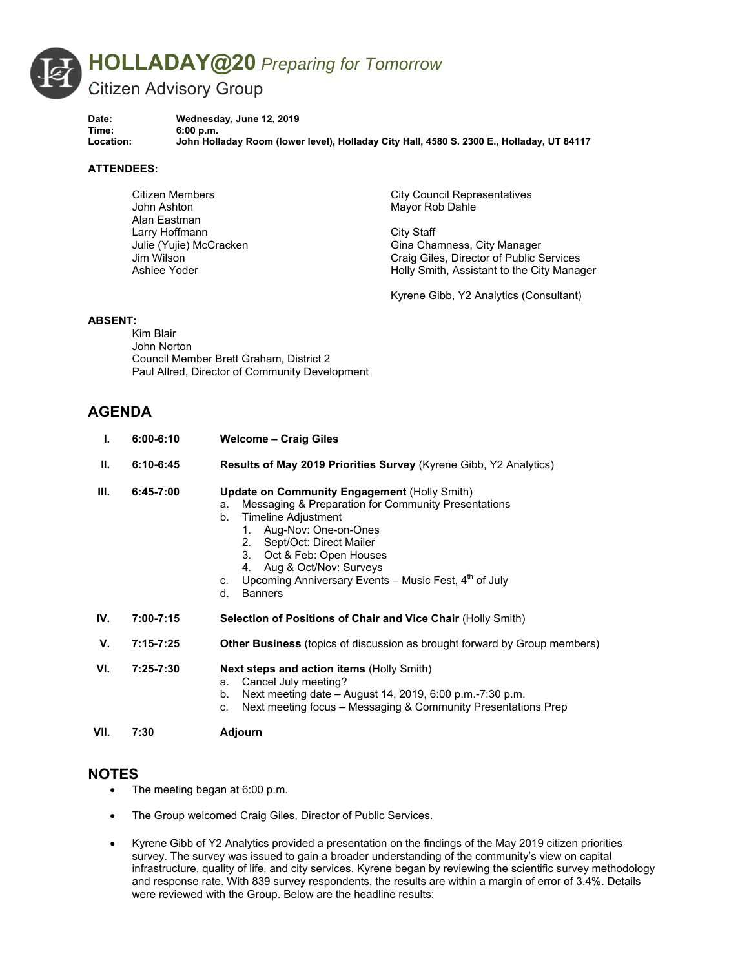

**Date: Wednesday, June 12, 2019 Time: 6:00 p.m. Location: John Holladay Room (lower level), Holladay City Hall, 4580 S. 2300 E., Holladay, UT 84117** 

### **ATTENDEES:**

Citizen Members John Ashton Alan Eastman Larry Hoffmann Julie (Yujie) McCracken Jim Wilson Ashlee Yoder

City Council Representatives Mayor Rob Dahle

**City Staff** Gina Chamness, City Manager Craig Giles, Director of Public Services Holly Smith, Assistant to the City Manager

Kyrene Gibb, Y2 Analytics (Consultant)

### **ABSENT:**

Kim Blair John Norton Council Member Brett Graham, District 2 Paul Allred, Director of Community Development

# **AGENDA**

| I.   | $6:00 - 6:10$ | <b>Welcome - Craig Giles</b>                                                                                                                                                                                                                                                                                                                             |
|------|---------------|----------------------------------------------------------------------------------------------------------------------------------------------------------------------------------------------------------------------------------------------------------------------------------------------------------------------------------------------------------|
| Ш.   | $6:10-6:45$   | Results of May 2019 Priorities Survey (Kyrene Gibb, Y2 Analytics)                                                                                                                                                                                                                                                                                        |
| III. | 6:45-7:00     | <b>Update on Community Engagement (Holly Smith)</b><br>Messaging & Preparation for Community Presentations<br>a.<br>Timeline Adjustment<br>b.<br>1. Aug-Nov: One-on-Ones<br>2. Sept/Oct: Direct Mailer<br>3. Oct & Feb: Open Houses<br>4. Aug & Oct/Nov: Surveys<br>c. Upcoming Anniversary Events – Music Fest, $4^{n}$ of July<br><b>Banners</b><br>d. |
| IV.  | $7:00 - 7:15$ | <b>Selection of Positions of Chair and Vice Chair (Holly Smith)</b>                                                                                                                                                                                                                                                                                      |
| V.   | $7:15 - 7:25$ | <b>Other Business</b> (topics of discussion as brought forward by Group members)                                                                                                                                                                                                                                                                         |
| VI.  | 7:25-7:30     | <b>Next steps and action items (Holly Smith)</b><br>Cancel July meeting?<br>а.<br>Next meeting date – August 14, 2019, 6:00 p.m.-7:30 p.m.<br>b.<br>Next meeting focus - Messaging & Community Presentations Prep<br>C.                                                                                                                                  |
| VII. | 7:30          | Adjourn                                                                                                                                                                                                                                                                                                                                                  |

### **NOTES**

- The meeting began at 6:00 p.m.
- The Group welcomed Craig Giles, Director of Public Services.
- Kyrene Gibb of Y2 Analytics provided a presentation on the findings of the May 2019 citizen priorities survey. The survey was issued to gain a broader understanding of the community's view on capital infrastructure, quality of life, and city services. Kyrene began by reviewing the scientific survey methodology and response rate. With 839 survey respondents, the results are within a margin of error of 3.4%. Details were reviewed with the Group. Below are the headline results: